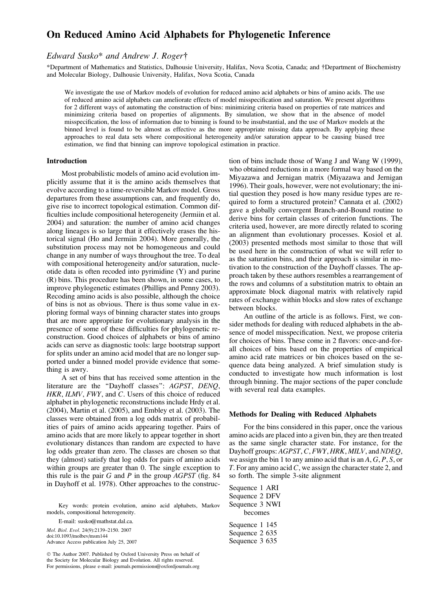# On Reduced Amino Acid Alphabets for Phylogenetic Inference

# Edward Susko\* and Andrew J. Roger

\*Department of Mathematics and Statistics, Dalhousie University, Halifax, Nova Scotia, Canada; and †Department of Biochemistry and Molecular Biology, Dalhousie University, Halifax, Nova Scotia, Canada

We investigate the use of Markov models of evolution for reduced amino acid alphabets or bins of amino acids. The use of reduced amino acid alphabets can ameliorate effects of model misspecification and saturation. We present algorithms for 2 different ways of automating the construction of bins: minimizing criteria based on properties of rate matrices and minimizing criteria based on properties of alignments. By simulation, we show that in the absence of model misspecification, the loss of information due to binning is found to be insubstantial, and the use of Markov models at the binned level is found to be almost as effective as the more appropriate missing data approach. By applying these approaches to real data sets where compositional heterogeneity and/or saturation appear to be causing biased tree estimation, we find that binning can improve topological estimation in practice.

#### Introduction

Most probabilistic models of amino acid evolution implicitly assume that it is the amino acids themselves that evolve according to a time-reversible Markov model. Gross departures from these assumptions can, and frequently do, give rise to incorrect topological estimation. Common difficulties include compositional heterogeneity (Jermiin et al. 2004) and saturation: the number of amino acid changes along lineages is so large that it effectively erases the historical signal (Ho and Jermiin 2004). More generally, the substitution process may not be homogeneous and could change in any number of ways throughout the tree. To deal with compositional heterogeneity and/or saturation, nucleotide data is often recoded into pyrimidine (Y) and purine (R) bins. This procedure has been shown, in some cases, to improve phylogenetic estimates (Phillips and Penny 2003). Recoding amino acids is also possible, although the choice of bins is not as obvious. There is thus some value in exploring formal ways of binning character states into groups that are more appropriate for evolutionary analysis in the presence of some of these difficulties for phylogenetic reconstruction. Good choices of alphabets or bins of amino acids can serve as diagnostic tools: large bootstrap support for splits under an amino acid model that are no longer supported under a binned model provide evidence that something is awry.

A set of bins that has received some attention in the literature are the ''Dayhoff classes'': AGPST, DENQ, HKR, ILMV, FWY, and C. Users of this choice of reduced alphabet in phylogenetic reconstructions include Hrdy et al. (2004), Martin et al. (2005), and Embley et al. (2003). The classes were obtained from a log odds matrix of probabilities of pairs of amino acids appearing together. Pairs of amino acids that are more likely to appear together in short evolutionary distances than random are expected to have log odds greater than zero. The classes are chosen so that they (almost) satisfy that log odds for pairs of amino acids within groups are greater than 0. The single exception to this rule is the pair  $G$  and  $P$  in the group  $AGPST$  (fig. 84 in Dayhoff et al. 1978). Other approaches to the construc-

Key words: protein evolution, amino acid alphabets, Markov models, compositional heterogeneity.

E-mail: susko@mathstat.dal.ca. Mol. Biol. Evol. 24(9):2139–2150. 2007 doi:10.1093/molbev/msm144 Advance Access publication July 25, 2007

 The Author 2007. Published by Oxford University Press on behalf of the Society for Molecular Biology and Evolution. All rights reserved. For permissions, please e-mail: journals.permissions@oxfordjournals.org

tion of bins include those of Wang J and Wang W (1999), who obtained reductions in a more formal way based on the Miyazawa and Jernigan matrix (Miyazawa and Jernigan 1996). Their goals, however, were not evolutionary; the initial question they posed is how many residue types are required to form a structured protein? Cannata et al. (2002) gave a globally convergent Branch-and-Bound routine to derive bins for certain classes of criterion functions. The criteria used, however, are more directly related to scoring an alignment than evolutionary processes. Kosiol et al. (2003) presented methods most similar to those that will be used here in the construction of what we will refer to as the saturation bins, and their approach is similar in motivation to the construction of the Dayhoff classes. The approach taken by these authors resembles a rearrangement of the rows and columns of a substitution matrix to obtain an approximate block diagonal matrix with relatively rapid rates of exchange within blocks and slow rates of exchange between blocks.

An outline of the article is as follows. First, we consider methods for dealing with reduced alphabets in the absence of model misspecification. Next, we propose criteria for choices of bins. These come in 2 flavors: once-and-forall choices of bins based on the properties of empirical amino acid rate matrices or bin choices based on the sequence data being analyzed. A brief simulation study is conducted to investigate how much information is lost through binning. The major sections of the paper conclude with several real data examples.

#### Methods for Dealing with Reduced Alphabets

For the bins considered in this paper, once the various amino acids are placed into a given bin, they are then treated as the same single character state. For instance, for the Dayhoff groups: AGPST, C, FWY, HRK, MILV, and NDEQ, we assign the bin 1 to any amino acid that is an  $A, G, P, S$ , or T. For any amino acid C, we assign the character state 2, and so forth. The simple 3-site alignment

Sequence 1 ARI Sequence 2 DFV Sequence 3 NWI becomes Sequence 1 145 Sequence 2 635 Sequence 3 635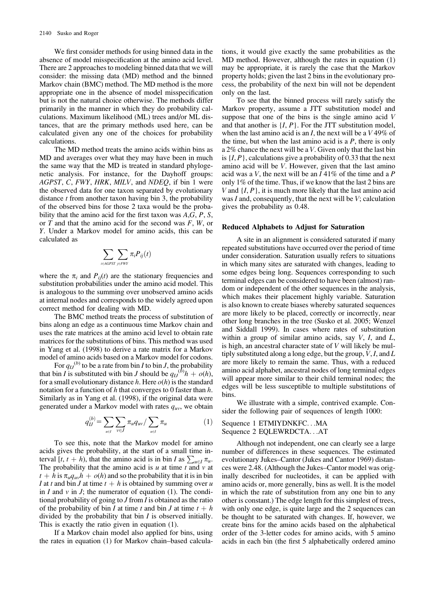We first consider methods for using binned data in the absence of model misspecification at the amino acid level. There are 2 approaches to modeling binned data that we will consider: the missing data (MD) method and the binned Markov chain (BMC) method. The MD method is the more appropriate one in the absence of model misspecification but is not the natural choice otherwise. The methods differ primarily in the manner in which they do probability calculations. Maximum likelihood (ML) trees and/or ML distances, that are the primary methods used here, can be calculated given any one of the choices for probability calculations.

The MD method treats the amino acids within bins as MD and averages over what they may have been in much the same way that the MD is treated in standard phylogenetic analysis. For instance, for the Dayhoff groups: AGPST, C, FWY, HRK, MILV, and NDEQ, if bin 1 were the observed data for one taxon separated by evolutionary distance  $t$  from another taxon having bin 3, the probability of the observed bins for those 2 taxa would be the probability that the amino acid for the first taxon was  $A, G, P, S$ , or  $T$  and that the amino acid for the second was  $F$ ,  $W$ , or Y. Under a Markov model for amino acids, this can be calculated as

$$
\sum_{i \in AGPST} \sum_{j \in FWY} \pi_i P_{ij}(t)
$$

where the  $\pi_i$  and  $P_{ii}(t)$  are the stationary frequencies and substitution probabilities under the amino acid model. This is analogous to the summing over unobserved amino acids at internal nodes and corresponds to the widely agreed upon correct method for dealing with MD.

The BMC method treats the process of substitution of bins along an edge as a continuous time Markov chain and uses the rate matrices at the amino acid level to obtain rate matrices for the substitutions of bins. This method was used in Yang et al. (1998) to derive a rate matrix for a Markov model of amino acids based on a Markov model for codons.

For  $q_{IJ}^{(b)}$  to be a rate from bin *I* to bin *J*, the probability that bin *I* is substituted with bin *J* should be  $q_{IJ}^{(b)}h + o(h)$ , for a small evolutionary distance h. Here  $o(h)$  is the standard notation for a function of  $h$  that converges to 0 faster than  $h$ . Similarly as in Yang et al. (1998), if the original data were generated under a Markov model with rates  $q_{uv}$ , we obtain

$$
q_{IJ}^{(b)} = \sum_{u \in I} \sum_{v \in J} \pi_u q_{uv} / \sum_{u \in I} \pi_u \tag{1}
$$

To see this, note that the Markov model for amino acids gives the probability, at the start of a small time interval [t, t + h), that the amino acid is in bin I as  $\sum_{u \in I} \pi_u$ . The probability that the amino acid is  $u$  at time  $t$  and  $v$  at  $t + h$  is  $\pi_u q_w h + o(h)$  and so the probability that it is in bin I at t and bin J at time  $t + h$  is obtained by summing over u in  $I$  and  $\nu$  in  $J$ ; the numerator of equation (1). The conditional probability of going to  $J$  from  $I$  is obtained as the ratio of the probability of bin I at time t and bin J at time  $t + h$ divided by the probability that bin  $I$  is observed initially. This is exactly the ratio given in equation (1).

If a Markov chain model also applied for bins, using the rates in equation (1) for Markov chain–based calculations, it would give exactly the same probabilities as the MD method. However, although the rates in equation (1) may be appropriate, it is rarely the case that the Markov property holds; given the last 2 bins in the evolutionary process, the probability of the next bin will not be dependent only on the last.

To see that the binned process will rarely satisfy the Markov property, assume a JTT substitution model and suppose that one of the bins is the single amino acid V and that another is  $\{I, P\}$ . For the JTT substitution model, when the last amino acid is an I, the next will be a  $V$  49% of the time, but when the last amino acid is a  $P$ , there is only a 2% chance the next will be a V. Given only that the last bin is  $\{I, P\}$ , calculations give a probability of 0.33 that the next amino acid will be V. However, given that the last amino acid was a V, the next will be an  $I$  41% of the time and a P only 1% of the time. Thus, if we know that the last 2 bins are V and  $\{I, P\}$ , it is much more likely that the last amino acid was I and, consequently, that the next will be  $V$ ; calculation gives the probability as 0.48.

#### Reduced Alphabets to Adjust for Saturation

A site in an alignment is considered saturated if many repeated substitutions have occurred over the period of time under consideration. Saturation usually refers to situations in which many sites are saturated with changes, leading to some edges being long. Sequences corresponding to such terminal edges can be considered to have been (almost) random or independent of the other sequences in the analysis, which makes their placement highly variable. Saturation is also known to create biases whereby saturated sequences are more likely to be placed, correctly or incorrectly, near other long branches in the tree (Susko et al. 2005; Wenzel and Siddall 1999). In cases where rates of substitution within a group of similar amino acids, say  $V$ ,  $I$ , and  $L$ , is high, an ancestral character state of V will likely be multiply substituted along a long edge, but the group,  $V, I$ , and  $L$ are more likely to remain the same. Thus, with a reduced amino acid alphabet, ancestral nodes of long terminal edges will appear more similar to their child terminal nodes; the edges will be less susceptible to multiple substitutions of bins.

We illustrate with a simple, contrived example. Consider the following pair of sequences of length 1000:

Sequence 1 ETMIYDNKFC...MA Sequence 2 EQLEWRDCTA...AT

Although not independent, one can clearly see a large number of differences in these sequences. The estimated evolutionary Jukes–Cantor (Jukes and Cantor 1969) distances were 2.48. (Although the Jukes–Cantor model was originally described for nucleotides, it can be applied with amino acids or, more generally, bins as well. It is the model in which the rate of substitution from any one bin to any other is constant.) The edge length for this simplest of trees, with only one edge, is quite large and the 2 sequences can be thought to be saturated with changes. If, however, we create bins for the amino acids based on the alphabetical order of the 3-letter codes for amino acids, with 5 amino acids in each bin (the first 5 alphabetically ordered amino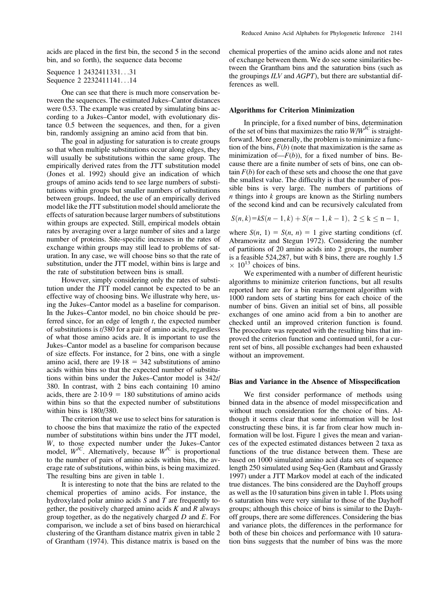acids are placed in the first bin, the second 5 in the second bin, and so forth), the sequence data become

```
Sequence 1 2432411331...31
Sequence 2 2232411141...14
```
One can see that there is much more conservation between the sequences. The estimated Jukes–Cantor distances were 0.53. The example was created by simulating bins according to a Jukes–Cantor model, with evolutionary distance 0.5 between the sequences, and then, for a given bin, randomly assigning an amino acid from that bin.

The goal in adjusting for saturation is to create groups so that when multiple substitutions occur along edges, they will usually be substitutions within the same group. The empirically derived rates from the JTT substitution model (Jones et al. 1992) should give an indication of which groups of amino acids tend to see large numbers of substitutions within groups but smaller numbers of substitutions between groups. Indeed, the use of an empirically derived model like the JTT substitution model should ameliorate the effects of saturation because larger numbers of substitutions within groups are expected. Still, empirical models obtain rates by averaging over a large number of sites and a large number of proteins. Site-specific increases in the rates of exchange within groups may still lead to problems of saturation. In any case, we will choose bins so that the rate of substitution, under the JTT model, within bins is large and the rate of substitution between bins is small.

However, simply considering only the rates of substitution under the JTT model cannot be expected to be an effective way of choosing bins. We illustrate why here, using the Jukes–Cantor model as a baseline for comparison. In the Jukes–Cantor model, no bin choice should be preferred since, for an edge of length  $t$ , the expected number of substitutions is t/380 for a pair of amino acids, regardless of what those amino acids are. It is important to use the Jukes–Cantor model as a baseline for comparison because of size effects. For instance, for 2 bins, one with a single amino acid, there are  $19.18 = 342$  substitutions of amino acids within bins so that the expected number of substitutions within bins under the Jukes–Cantor model is 342t/ 380. In contrast, with 2 bins each containing 10 amino acids, there are  $2.10.9 = 180$  substitutions of amino acids within bins so that the expected number of substitutions within bins is 180t/380.

The criterion that we use to select bins for saturation is to choose the bins that maximize the ratio of the expected number of substitutions within bins under the JTT model, W, to those expected number under the Jukes–Cantor model,  $W^{JC}$ . Alternatively, because  $W^{JC}$  is proportional to the number of pairs of amino acids within bins, the average rate of substitutions, within bins, is being maximized. The resulting bins are given in table 1.

It is interesting to note that the bins are related to the chemical properties of amino acids. For instance, the hydroxylated polar amino acids S and T are frequently together, the positively charged amino acids  $K$  and  $R$  always group together, as do the negatively charged  $D$  and  $E$ . For comparison, we include a set of bins based on hierarchical clustering of the Grantham distance matrix given in table 2 of Grantham (1974). This distance matrix is based on the chemical properties of the amino acids alone and not rates of exchange between them. We do see some similarities between the Grantham bins and the saturation bins (such as the groupings ILV and AGPT), but there are substantial differences as well.

#### Algorithms for Criterion Minimization

In principle, for a fixed number of bins, determination of the set of bins that maximizes the ratio  $W/W^{JC}$  is straightforward. More generally, the problem is to minimize a function of the bins,  $F(b)$  (note that maximization is the same as minimization of  $-F(b)$ , for a fixed number of bins. Because there are a finite number of sets of bins, one can obtain  $F(b)$  for each of these sets and choose the one that gave the smallest value. The difficulty is that the number of possible bins is very large. The numbers of partitions of  $n$  things into  $k$  groups are known as the Stirling numbers of the second kind and can be recursively calculated from

$$
S(n,k)=kS(n-1,k)+S(n-1,k-1), 2 \le k \le n-1,
$$

where  $S(n, 1) = S(n, n) = 1$  give starting conditions (cf. Abramowitz and Stegun 1972). Considering the number of partitions of 20 amino acids into 2 groups, the number is a feasible 524,287, but with 8 bins, there are roughly 1.5  $\times$  10<sup>13</sup> choices of bins.

We experimented with a number of different heuristic algorithms to minimize criterion functions, but all results reported here are for a bin rearrangement algorithm with 1000 random sets of starting bins for each choice of the number of bins. Given an initial set of bins, all possible exchanges of one amino acid from a bin to another are checked until an improved criterion function is found. The procedure was repeated with the resulting bins that improved the criterion function and continued until, for a current set of bins, all possible exchanges had been exhausted without an improvement.

### Bias and Variance in the Absence of Misspecification

We first consider performance of methods using binned data in the absence of model misspecification and without much consideration for the choice of bins. Although it seems clear that some information will be lost constructing these bins, it is far from clear how much information will be lost. Figure 1 gives the mean and variances of the expected estimated distances between 2 taxa as functions of the true distance between them. These are based on 1000 simulated amino acid data sets of sequence length 250 simulated using Seq-Gen (Rambaut and Grassly 1997) under a JTT Markov model at each of the indicated true distances. The bins considered are the Dayhoff groups as well as the 10 saturation bins given in table 1. Plots using 6 saturation bins were very similar to those of the Dayhoff groups; although this choice of bins is similar to the Dayhoff groups, there are some differences. Considering the bias and variance plots, the differences in the performance for both of these bin choices and performance with 10 saturation bins suggests that the number of bins was the more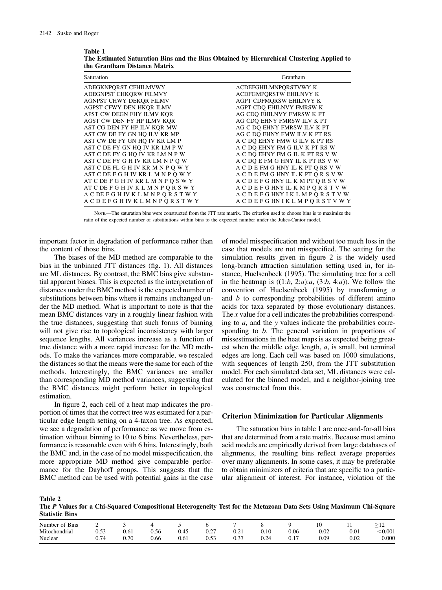Table 1

| Saturation                          | Grantham                            |
|-------------------------------------|-------------------------------------|
| ADEGKNPORST CFHILMVWY               | ACDEFGHILMNPORSTVWY K               |
| ADEGNPST CHKORW FILMVY              | ACDFGMPORSTW EHILNVY K              |
| AGNPST CHWY DEKOR FILMV             | AGPT CDFMORSW EHILNVY K             |
| AGPST CFWY DEN HKOR ILMV            | AGPT CDO EHILNVY FMRSW K            |
| APST CW DEGN FHY ILMV KQR           | AG CDQ EHILNVY FMRSW K PT           |
| AGST CW DEN FY HP ILMV KOR          | AG CDO EHNY FMRSW ILV K PT          |
| AST CG DEN FY HP ILV KOR MW         | AG C DO EHNY FMRSW ILV K PT         |
| AST CW DE FY GN HO ILV KR MP        | AG C DO EHNY FMW ILV K PT RS        |
| AST CW DE FY GN HO IV KR LM P       | A C DO EHNY FMW G ILV K PT RS       |
| AST C DE FY GN HO IV KR LM P W      | A C DO EHNY FM G ILV K PT RS W      |
| AST C DE FY G HO IV KR LM N P W     | A C DO EHNY FM G IL K PT RS V W     |
| AST C DE FY G H IV KR LM N P O W    | A C DO E FM G HNY IL K PT RS V W    |
| AST C DE FL G H IV KR M N P O W Y   | A C D E FM G HNY IL K PT O RS V W   |
| AST C DE F G H IV KR L M N P Q W Y  | A C D E FM G HNY IL K PT Q R S V W  |
| AT C DE F G H IV KR L M N P O S W Y | A C D E F G HNY IL K M PT O R S V W |
| ATCDEFGHIVKLMNPORSWY                | <b>ACDEFGHNYILKMPQRSTVW</b>         |
| <b>ACDEFGHIVKLMNPORSTWY</b>         | <b>ACDEFGHNYIKLMPORSTVW</b>         |
| <b>ACDEFGHIVKLMNPORSTWY</b>         | <b>ACDEFGHNIKLMPORSTVWY</b>         |

The Estimated Saturation Bins and the Bins Obtained by Hierarchical Clustering Applied to the Grantham Distance Matrix

NOTE.—The saturation bins were constructed from the JTT rate matrix. The criterion used to choose bins is to maximize the ratio of the expected number of substitutions within bins to the expected number under the Jukes-Cantor model.

important factor in degradation of performance rather than the content of those bins.

The biases of the MD method are comparable to the bias in the unbinned JTT distances (fig. 1). All distances are ML distances. By contrast, the BMC bins give substantial apparent biases. This is expected as the interpretation of distances under the BMC method is the expected number of substitutions between bins where it remains unchanged under the MD method. What is important to note is that the mean BMC distances vary in a roughly linear fashion with the true distances, suggesting that such forms of binning will not give rise to topological inconsistency with larger sequence lengths. All variances increase as a function of true distance with a more rapid increase for the MD methods. To make the variances more comparable, we rescaled the distances so that the means were the same for each of the methods. Interestingly, the BMC variances are smaller than corresponding MD method variances, suggesting that the BMC distances might perform better in topological estimation.

In figure 2, each cell of a heat map indicates the proportion of times that the correct tree was estimated for a particular edge length setting on a 4-taxon tree. As expected, we see a degradation of performance as we move from estimation without binning to 10 to 6 bins. Nevertheless, performance is reasonable even with 6 bins. Interestingly, both the BMC and, in the case of no model misspecification, the more appropriate MD method give comparable performance for the Dayhoff groups. This suggests that the BMC method can be used with potential gains in the case

of model misspecification and without too much loss in the case that models are not misspecified. The setting for the simulation results given in figure 2 is the widely used long-branch attraction simulation setting used in, for instance, Huelsenbeck (1995). The simulating tree for a cell in the heatmap is  $((1:b, 2:a):a, (3:b, 4:a))$ . We follow the convention of Huelsenbeck (1995) by transforming a and  $b$  to corresponding probabilities of different amino acids for taxa separated by those evolutionary distances. The  $x$  value for a cell indicates the probabilities corresponding to  $a$ , and the y values indicate the probabilities corresponding to b. The general variation in proportions of missestimations in the heat maps is as expected being greatest when the middle edge length,  $a$ , is small, but terminal edges are long. Each cell was based on 1000 simulations, with sequences of length 250, from the JTT substitution model. For each simulated data set, ML distances were calculated for the binned model, and a neighbor-joining tree was constructed from this.

#### Criterion Minimization for Particular Alignments

The saturation bins in table 1 are once-and-for-all bins that are determined from a rate matrix. Because most amino acid models are empirically derived from large databases of alignments, the resulting bins reflect average properties over many alignments. In some cases, it may be preferable to obtain minimizers of criteria that are specific to a particular alignment of interest. For instance, violation of the

| Table 2                                                                                                             |  |  |
|---------------------------------------------------------------------------------------------------------------------|--|--|
| The P Values for a Chi-Squared Compositional Heterogeneity Test for the Metazoan Data Sets Using Maximum Chi-Square |  |  |
| <b>Statistic Bins</b>                                                                                               |  |  |

| of Bins<br>Number | ∸             |      |      |      |           |           |            |      | ΙŲ   | . .  | $\overline{1}$ |
|-------------------|---------------|------|------|------|-----------|-----------|------------|------|------|------|----------------|
| Mitochondrial     | 52<br>U.JJ    | 0.61 | ).56 | 0.45 | $_{0.27}$ | $_{0.21}$ | $_{0.10}$  | 0.06 | 0.02 | 0.01 | $<$ $0.001$    |
| Nuclear           | $\sim$ $\sim$ | 0.70 | 0.66 | 0.61 | 0.53      | 0.37      | ባ 24<br>◡⊷ | ∪.⊥  | 0.09 | 0.02 | 0.000          |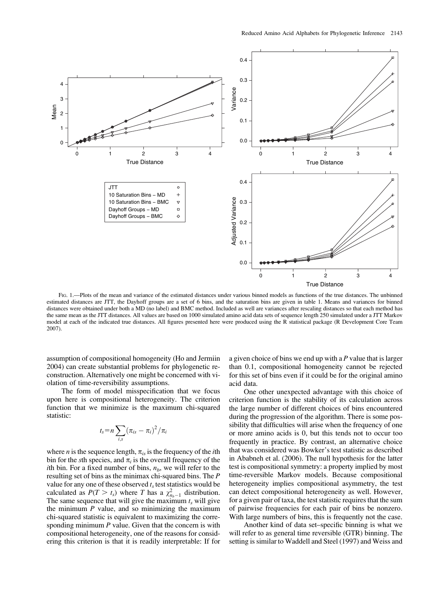

FIG. 1.—Plots of the mean and variance of the estimated distances under various binned models as functions of the true distances. The unbinned estimated distances are JTT, the Dayhoff groups are a set of 6 bins, and the saturation bins are given in table 1. Means and variances for binned distances were obtained under both a MD (no label) and BMC method. Included as well are variances after rescaling distances so that each method has the same mean as the JTT distances. All values are based on 1000 simulated amino acid data sets of sequence length 250 simulated under a JTT Markov model at each of the indicated true distances. All figures presented here were produced using the R statistical package (R Development Core Team 2007).

assumption of compositional homogeneity (Ho and Jermiin 2004) can create substantial problems for phylogenetic reconstruction. Alternatively one might be concerned with violation of time-reversibility assumptions.

The form of model misspecification that we focus upon here is compositional heterogeneity. The criterion function that we minimize is the maximum chi-squared statistic:

$$
t_s = n \sum_{i,s} (\pi_{is} - \pi_i)^2 / \pi_i
$$

where *n* is the sequence length,  $\pi_{is}$  is the frequency of the *i*th bin for the sth species, and  $\pi_i$  is the overall frequency of the ith bin. For a fixed number of bins,  $n_b$ , we will refer to the resulting set of bins as the minimax chi-squared bins. The P value for any one of these observed  $t_s$  test statistics would be calculated as  $P(T > t_s)$  where T has a  $\chi^2_{n_b-1}$  distribution. The same sequence that will give the maximum  $t_s$  will give the minimum  $P$  value, and so minimizing the maximum chi-squared statistic is equivalent to maximizing the corresponding minimum  $P$  value. Given that the concern is with compositional heterogeneity, one of the reasons for considering this criterion is that it is readily interpretable: If for a given choice of bins we end up with a  $P$  value that is larger than 0.1, compositional homogeneity cannot be rejected for this set of bins even if it could be for the original amino acid data.

One other unexpected advantage with this choice of criterion function is the stability of its calculation across the large number of different choices of bins encountered during the progression of the algorithm. There is some possibility that difficulties will arise when the frequency of one or more amino acids is 0, but this tends not to occur too frequently in practice. By contrast, an alternative choice that was considered was Bowker's test statistic as described in Ababneh et al. (2006). The null hypothesis for the latter test is compositional symmetry: a property implied by most time-reversible Markov models. Because compositional heterogeneity implies compositional asymmetry, the test can detect compositional heterogeneity as well. However, for a given pair of taxa, the test statistic requires that the sum of pairwise frequencies for each pair of bins be nonzero. With large numbers of bins, this is frequently not the case.

Another kind of data set–specific binning is what we will refer to as general time reversible (GTR) binning. The setting is similar to Waddell and Steel (1997) and Weiss and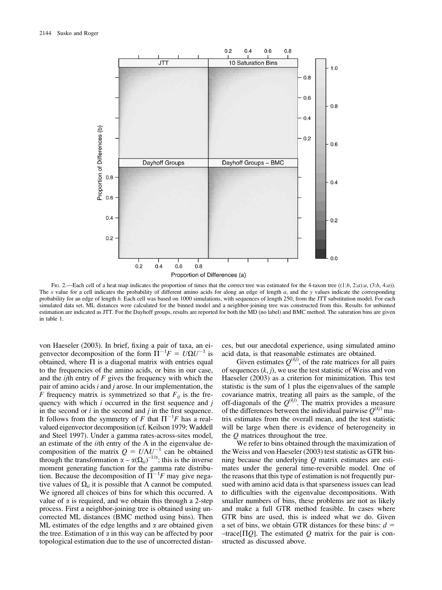

FIG. 2.—Each cell of a heat map indicates the proportion of times that the correct tree was estimated for the 4-taxon tree  $((1:b, 2:a):a, (3:b, 4:a))$ . The x value for a cell indicates the probability of different amino acids for along an edge of length  $a$ , and the y values indicate the corresponding probability for an edge of length b. Each cell was based on 1000 simulations, with sequences of length 250, from the JTT substitution model. For each simulated data set, ML distances were calculated for the binned model and a neighbor-joining tree was constructed from this. Results for unbinned estimation are indicated as JTT. For the Dayhoff groups, results are reported for both the MD (no label) and BMC method. The saturation bins are given in table 1.

von Haeseler (2003). In brief, fixing a pair of taxa, an eigenvector decomposition of the form  $\Pi^{-1}F = U\Omega U^{-1}$  is obtained, where  $\Pi$  is a diagonal matrix with entries equal to the frequencies of the amino acids, or bins in our case, and the  $ij$ th entry of  $F$  gives the frequency with which the pair of amino acids  $i$  and  $j$  arose. In our implementation, the F frequency matrix is symmetrized so that  $F_{ii}$  is the frequency with which  $i$  occurred in the first sequence and  $j$ in the second or  $i$  in the second and  $j$  in the first sequence. It follows from the symmetry of F that  $\Pi^{-1}F$  has a realvalued eigenvector decomposition (cf. Keilson 1979; Waddell and Steel 1997). Under a gamma rates-across-sites model, an estimate of the *i*ith entry of the  $\Lambda$  in the eigenvalue decomposition of the matrix  $Q = U \Lambda U^{-1}$  can be obtained through the transformation  $\alpha - \alpha (\Omega_{ii})^{-1/\alpha}$ ; this is the inverse moment generating function for the gamma rate distribution. Because the decomposition of  $\overline{\Pi}^{-1}F$  may give negative values of  $\Omega_{ii}$  it is possible that  $\Lambda$  cannot be computed. We ignored all choices of bins for which this occurred. A value of  $\alpha$  is required, and we obtain this through a 2-step process. First a neighbor-joining tree is obtained using uncorrected ML distances (BMC method using bins). Then ML estimates of the edge lengths and  $\alpha$  are obtained given the tree. Estimation of  $\alpha$  in this way can be affected by poor topological estimation due to the use of uncorrected distan-

ces, but our anecdotal experience, using simulated amino acid data, is that reasonable estimates are obtained.

Given estimates  $Q^{(kj)}$ , of the rate matrices for all pairs of sequences  $(k, j)$ , we use the test statistic of Weiss and von Haeseler (2003) as a criterion for minimization. This test statistic is the sum of 1 plus the eigenvalues of the sample covariance matrix, treating all pairs as the sample, of the off-diagonals of the  $Q^{(kj)}$ . The matrix provides a measure of the differences between the individual pairwise  $Q^{(kj)}$  matrix estimates from the overall mean, and the test statistic will be large when there is evidence of heterogeneity in the Q matrices throughout the tree.

We refer to bins obtained through the maximization of the Weiss and von Haeseler (2003) test statistic as GTR binning because the underlying  $O$  matrix estimates are estimates under the general time-reversible model. One of the reasons that this type of estimation is not frequently pursued with amino acid data is that sparseness issues can lead to difficulties with the eigenvalue decompositions. With smaller numbers of bins, these problems are not as likely and make a full GTR method feasible. In cases where GTR bins are used, this is indeed what we do. Given a set of bins, we obtain GTR distances for these bins:  $d =$  $-\text{trace}[\Pi Q]$ . The estimated Q matrix for the pair is constructed as discussed above.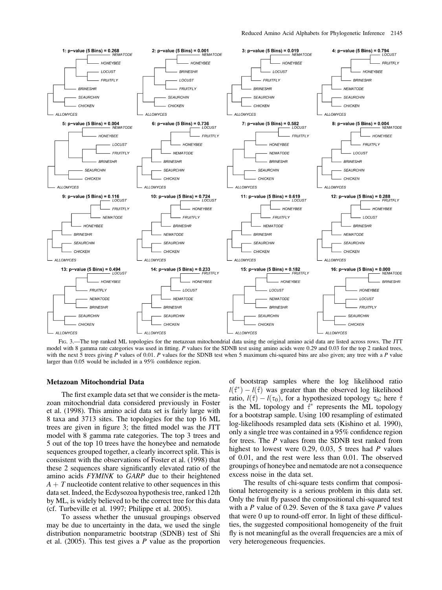

FIG. 3.—The top ranked ML topologies for the metazoan mitochondrial data using the original amino acid data are listed across rows. The JTT model with 8 gamma rate categories was used in fitting. P values for the SDNB test using amino acids were 0.29 and 0.03 for the top 2 ranked trees, with the next 5 trees giving  $P$  values of 0.01.  $P$  values for the SDNB test when 5 maximum chi-squared bins are also given; any tree with a  $P$  value larger than 0.05 would be included in a 95% confidence region.

#### Metazoan Mitochondrial Data

The first example data set that we consider is the metazoan mitochondrial data considered previously in Foster et al. (1998). This amino acid data set is fairly large with 8 taxa and 3713 sites. The topologies for the top 16 ML trees are given in figure 3; the fitted model was the JTT model with 8 gamma rate categories. The top 3 trees and 5 out of the top 10 trees have the honeybee and nematode sequences grouped together, a clearly incorrect split. This is consistent with the observations of Foster et al. (1998) that these 2 sequences share significantly elevated ratio of the amino acids FYMINK to GARP due to their heightened  $A + T$  nucleotide content relative to other sequences in this data set. Indeed, the Ecdysozoa hypothesis tree, ranked 12th by ML, is widely believed to be the correct tree for this data (cf. Turbeville et al. 1997; Philippe et al. 2005).

To assess whether the unusual groupings observed may be due to uncertainty in the data, we used the single distribution nonparametric bootstrap (SDNB) test of Shi et al.  $(2005)$ . This test gives a P value as the proportion

of bootstrap samples where the log likelihood ratio  $l(\hat{\tau}^*) - l(\hat{\tau})$  was greater than the observed log likelihood ratio,  $l(\hat{\tau}) - l(\tau_0)$ , for a hypothesized topology  $\tau_0$ ; here  $\hat{\tau}$ is the ML topology and  $\hat{\tau}^*$  represents the ML topology for a bootstrap sample. Using 100 resampling of estimated log-likelihoods resampled data sets (Kishino et al. 1990), only a single tree was contained in a 95% confidence region for trees. The P values from the SDNB test ranked from highest to lowest were 0.29, 0.03, 5 trees had P values of 0.01, and the rest were less than 0.01. The observed groupings of honeybee and nematode are not a consequence excess noise in the data set.

The results of chi-square tests confirm that compositional heterogeneity is a serious problem in this data set. Only the fruit fly passed the compositional chi-squared test with a  $P$  value of 0.29. Seven of the 8 taxa gave  $P$  values that were 0 up to round-off error. In light of these difficulties, the suggested compositional homogeneity of the fruit fly is not meaningful as the overall frequencies are a mix of very heterogeneous frequencies.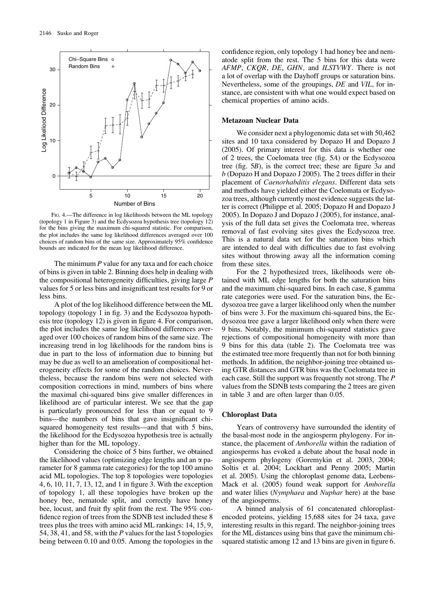

FIG. 4.—The difference in log likelihoods between the ML topology (topology 1 in Figure 3) and the Ecdysozoa hypothesis tree (topology 12) for the bins giving the maximum chi-squared statistic. For comparison, the plot includes the same log likelihood differences averaged over 100 choices of random bins of the same size. Approximately 95% confidence bounds are indicated for the mean log likelihood difference.

The minimum  $P$  value for any taxa and for each choice of bins is given in table 2. Binning does help in dealing with the compositional heterogeneity difficulties, giving large P values for 5 or less bins and insignificant test results for 9 or less bins.

A plot of the log likelihood difference between the ML topology (topology 1 in fig. 3) and the Ecdysozoa hypothesis tree (topology 12) is given in figure 4. For comparison, the plot includes the same log likelihood differences averaged over 100 choices of random bins of the same size. The increasing trend in log likelihoods for the random bins is due in part to the loss of information due to binning but may be due as well to an amelioration of compositional heterogeneity effects for some of the random choices. Nevertheless, because the random bins were not selected with composition corrections in mind, numbers of bins where the maximal chi-squared bins give smaller differences in likelihood are of particular interest. We see that the gap is particularly pronounced for less than or equal to 9 bins—the numbers of bins that gave insignificant chisquared homogeneity test results—and that with 5 bins, the likelihood for the Ecdysozoa hypothesis tree is actually higher than for the ML topology.

Considering the choice of 5 bins further, we obtained the likelihood values (optimizing edge lengths and an  $\alpha$  parameter for 8 gamma rate categories) for the top 100 amino acid ML topologies. The top 8 topologies were topologies 4, 6, 10, 11, 7, 13, 12, and 1 in figure 3. With the exception of topology 1, all these topologies have broken up the honey bee, nematode split, and correctly have honey bee, locust, and fruit fly split from the rest. The 95% confidence region of trees from the SDNB test included these 8 trees plus the trees with amino acid ML rankings: 14, 15, 9, 54, 38, 41, and 58, with the P values for the last 5 topologies being between 0.10 and 0.05. Among the topologies in the confidence region, only topology 1 had honey bee and nematode split from the rest. The 5 bins for this data were AFMP, CKQR, DE, GHN, and ILSTVWY. There is not a lot of overlap with the Dayhoff groups or saturation bins. Nevertheless, some of the groupings, DE and VIL, for instance, are consistent with what one would expect based on chemical properties of amino acids.

#### Metazoan Nuclear Data

We consider next a phylogenomic data set with 50,462 sites and 10 taxa considered by Dopazo H and Dopazo J (2005). Of primary interest for this data is whether one of 2 trees, the Coelomata tree (fig. 5A) or the Ecdysozoa tree (fig.  $5B$ ), is the correct tree; these are figure  $3a$  and b (Dopazo H and Dopazo J 2005). The 2 trees differ in their placement of Caenorhabditis elegans. Different data sets and methods have yielded either the Coelomata or Ecdysozoa trees, although currently most evidence suggests the latter is correct (Philippe et al. 2005; Dopazo H and Dopazo J 2005). In Dopazo J and Dopazo J (2005), for instance, analysis of the full data set gives the Coelomata tree, whereas removal of fast evolving sites gives the Ecdysozoa tree. This is a natural data set for the saturation bins which are intended to deal with difficulties due to fast evolving sites without throwing away all the information coming from these sites.

For the 2 hypothesized trees, likelihoods were obtained with ML edge lengths for both the saturation bins and the maximum chi-squared bins. In each case, 8 gamma rate categories were used. For the saturation bins, the Ecdysozoa tree gave a larger likelihood only when the number of bins were 3. For the maximum chi-squared bins, the Ecdysozoa tree gave a larger likelihood only when there were 9 bins. Notably, the minimum chi-squared statistics gave rejections of compositional homogeneity with more than 9 bins for this data (table 2). The Coelomata tree was the estimated tree more frequently than not for both binning methods. In addition, the neighbor-joining tree obtained using GTR distances and GTR bins was the Coelomata tree in each case. Still the support was frequently not strong. The P values from the SDNB tests comparing the 2 trees are given in table 3 and are often larger than 0.05.

#### Chloroplast Data

Years of controversy have surrounded the identity of the basal-most node in the angiosperm phylogeny. For instance, the placement of Amborella within the radiation of angiosperms has evoked a debate about the basal node in angiosperm phylogeny (Goremykin et al. 2003, 2004; Soltis et al. 2004; Lockhart and Penny 2005; Martin et al. 2005). Using the chloroplast genome data, Leebens-Mack et al. (2005) found weak support for Amborella and water lilies (Nymphaea and Nuphar here) at the base of the angiosperms.

A binned analysis of 61 concatenated chloroplastencoded proteins, yielding 15,688 sites for 24 taxa, gave interesting results in this regard. The neighbor-joining trees for the ML distances using bins that gave the minimum chisquared statistic among 12 and 13 bins are given in figure 6.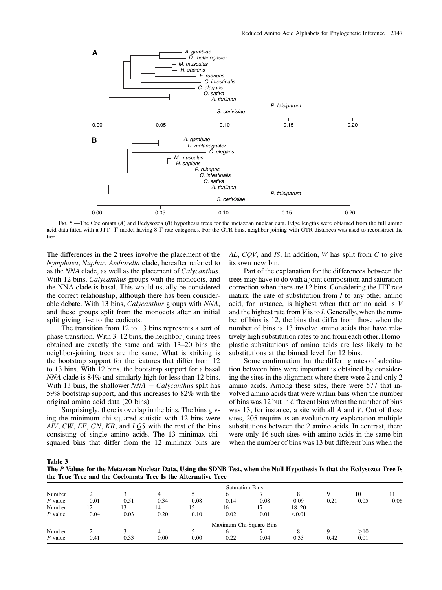

FIG. 5.—The Coelomata (A) and Ecdysozoa (B) hypothesis trees for the metazoan nuclear data. Edge lengths were obtained from the full amino acid data fitted with a JTT+ $\Gamma$  model having 8  $\Gamma$  rate categories. For the GTR bins, neighbor joining with GTR distances was used to reconstruct the tree.

The differences in the 2 trees involve the placement of the Nymphaea, Nuphar, Amborella clade, hereafter referred to as the NNA clade, as well as the placement of Calycanthus. With 12 bins, *Calycanthus* groups with the monocots, and the NNA clade is basal. This would usually be considered the correct relationship, although there has been considerable debate. With 13 bins, Calycanthus groups with NNA, and these groups split from the monocots after an initial split giving rise to the eudicots.

The transition from 12 to 13 bins represents a sort of phase transition. With 3–12 bins, the neighbor-joining trees obtained are exactly the same and with 13–20 bins the neighbor-joining trees are the same. What is striking is the bootstrap support for the features that differ from 12 to 13 bins. With 12 bins, the bootstrap support for a basal NNA clade is 84% and similarly high for less than 12 bins. With 13 bins, the shallower  $NNA + Calycanthus$  split has 59% bootstrap support, and this increases to 82% with the original amino acid data (20 bins).

Surprisingly, there is overlap in the bins. The bins giving the minimum chi-squared statistic with 12 bins were AIV, CW, EF, GN, KR, and LQS with the rest of the bins consisting of single amino acids. The 13 minimax chisquared bins that differ from the 12 minimax bins are

 $AL, CQV$ , and IS. In addition, W has split from C to give its own new bin.

Part of the explanation for the differences between the trees may have to do with a joint composition and saturation correction when there are 12 bins. Considering the JTT rate matrix, the rate of substitution from  $I$  to any other amino acid, for instance, is highest when that amino acid is V and the highest rate from  $V$  is to  $I$ . Generally, when the number of bins is 12, the bins that differ from those when the number of bins is 13 involve amino acids that have relatively high substitution rates to and from each other. Homoplastic substitutions of amino acids are less likely to be substitutions at the binned level for 12 bins.

Some confirmation that the differing rates of substitution between bins were important is obtained by considering the sites in the alignment where there were 2 and only 2 amino acids. Among these sites, there were 577 that involved amino acids that were within bins when the number of bins was 12 but in different bins when the number of bins was 13; for instance, a site with all A and V. Out of these sites, 205 require as an evolutionary explanation multiple substitutions between the 2 amino acids. In contrast, there were only 16 such sites with amino acids in the same bin when the number of bins was 13 but different bins when the

Table 3

The P Values for the Metazoan Nuclear Data, Using the SDNB Test, when the Null Hypothesis Is that the Ecdysozoa Tree Is the True Tree and the Coelomata Tree Is the Alternative Tree

|           | <b>Saturation Bins</b> |      |      |      |                         |      |           |      |          |      |  |
|-----------|------------------------|------|------|------|-------------------------|------|-----------|------|----------|------|--|
| Number    |                        |      |      |      |                         |      |           |      | 10       | 11   |  |
| $P$ value | 0.01                   | 0.51 | 0.34 | 0.08 | 0.14                    | 0.08 | 0.09      | 0.21 | 0.05     | 0.06 |  |
| Number    | 12                     | 13   | 14   | 15   | 16                      |      | $18 - 20$ |      |          |      |  |
| $P$ value | 0.04                   | 0.03 | 0.20 | 0.10 | 0.02                    | 0.01 | < 0.01    |      |          |      |  |
|           |                        |      |      |      | Maximum Chi-Square Bins |      |           |      |          |      |  |
| Number    |                        |      | 4    |      | 6                       |      |           |      | $\geq10$ |      |  |
| $P$ value | 0.41                   | 0.33 | 0.00 | 0.00 | 0.22                    | 0.04 | 0.33      | 0.42 | 0.01     |      |  |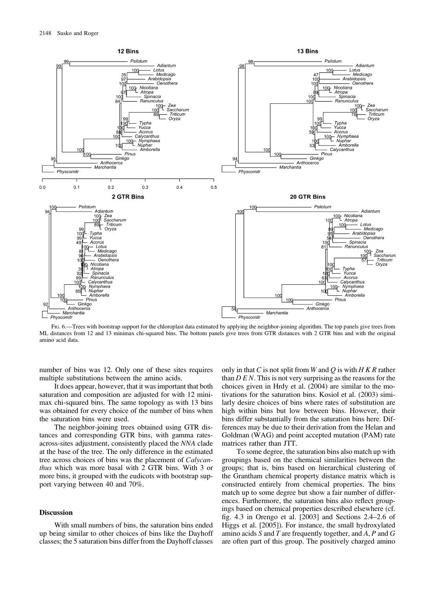

FIG. 6.—Trees with bootstrap support for the chloroplast data estimated by applying the neighbor-joining algorithm. The top panels give trees from ML distances from 12 and 13 minimax chi-squared bins. The bottom panels give trees from GTR distances with 2 GTR bins and with the original amino acid data.

number of bins was 12. Only one of these sites requires multiple substitutions between the amino acids.

It does appear, however, that it was important that both saturation and composition are adjusted for with 12 minimax chi-squared bins. The same topology as with 13 bins was obtained for every choice of the number of bins when the saturation bins were used.

The neighbor-joining trees obtained using GTR distances and corresponding GTR bins, with gamma ratesacross-sites adjustment, consistently placed the NNA clade at the base of the tree. The only difference in the estimated tree across choices of bins was the placement of Calycanthus which was more basal with 2 GTR bins. With 3 or more bins, it grouped with the eudicots with bootstrap support varying between 40 and 70%.

#### **Discussion**

With small numbers of bins, the saturation bins ended up being similar to other choices of bins like the Dayhoff classes; the 5 saturation bins differ from the Dayhoff classes only in that C is not split from W and Q is with  $H K R$  rather than  $D \, E \, N$ . This is not very surprising as the reasons for the choices given in Hrdy et al. (2004) are similar to the motivations for the saturation bins. Kosiol et al. (2003) similarly desire choices of bins where rates of substitution are high within bins but low between bins. However, their bins differ substantially from the saturation bins here. Differences may be due to their derivation from the Helan and Goldman (WAG) and point accepted mutation (PAM) rate matrices rather than JTT.

To some degree, the saturation bins also match up with groupings based on the chemical similarities between the groups; that is, bins based on hierarchical clustering of the Grantham chemical property distance matrix which is constructed entirely from chemical properties. The bins match up to some degree but show a fair number of differences. Furthermore, the saturation bins also reflect groupings based on chemical properties described elsewhere (cf. fig. 4.3 in Orengo et al. [2003] and Sections 2.4–2.6 of Higgs et al. [2005]). For instance, the small hydroxylated amino acids S and T are frequently together, and  $A$ , P and  $G$ are often part of this group. The positively charged amino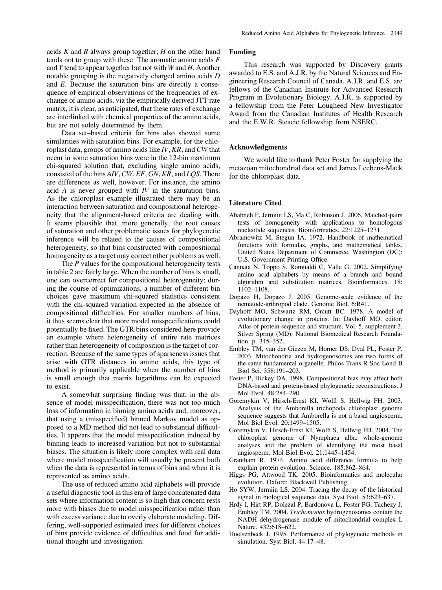acids  $K$  and  $R$  always group together;  $H$  on the other hand tends not to group with these. The aromatic amino acids  $F$ and Y tend to appear together but not with  $W$  and  $H$ . Another notable grouping is the negatively charged amino acids D and E. Because the saturation bins are directly a consequence of empirical observations of the frequencies of exchange of amino acids, via the empirically derived JTT rate matrix, it is clear, as anticipated, that these rates of exchange are interlinked with chemical properties of the amino acids, but are not solely determined by them.

Data set–based criteria for bins also showed some similarities with saturation bins. For example, for the chloroplast data, groups of amino acids like  $IV, KR$ , and  $CW$  that occur in some saturation bins were in the 12-bin maximum chi-squared solution that, excluding single amino acids, consisted of the bins AIV, CW, EF, GN, KR, and LOS. There are differences as well, however. For instance, the amino acid A is never grouped with  $IV$  in the saturation bins. As the chloroplast example illustrated there may be an interaction between saturation and compositional heterogeneity that the alignment-based criteria are dealing with. It seems plausible that, more generally, the root causes of saturation and other problematic issues for phylogenetic inference will be related to the causes of compositional heterogeneity, so that bins constructed with compositional homogeneity as a target may correct other problems as well.

The P values for the compositional heterogeneity tests in table 2 are fairly large. When the number of bins is small, one can overcorrect for compositional heterogeneity; during the course of optimizations, a number of different bin choices gave maximum chi-squared statistics consistent with the chi-squared variation expected in the absence of compositional difficulties. For smaller numbers of bins, it thus seems clear that more model misspecifications could potentially be fixed. The GTR bins considered here provide an example where heterogeneity of entire rate matrices rather than heterogeneity of composition is the target of correction. Because of the same types of sparseness issues that arise with GTR distances in amino acids, this type of method is primarily applicable when the number of bins is small enough that matrix logarithms can be expected to exist.

A somewhat surprising finding was that, in the absence of model misspecification, there was not too much loss of information in binning amino acids and, moreover, that using a (misspecified) binned Markov model as opposed to a MD method did not lead to substantial difficulties. It appears that the model misspecification induced by binning leads to increased variation but not to substantial biases. The situation is likely more complex with real data where model misspecification will usually be present both when the data is represented in terms of bins and when it is represented as amino acids.

The use of reduced amino acid alphabets will provide a useful diagnostic tool in this era of large concatenated data sets where information content is so high that concern rests more with biases due to model misspecification rather than with excess variance due to overly elaborate modeling. Differing, well-supported estimated trees for different choices of bins provide evidence of difficulties and food for additional thought and investigation.

# Funding

This research was supported by Discovery grants awarded to E.S. and A.J.R. by the Natural Sciences and Engineering Research Council of Canada. A.J.R. and E.S. are fellows of the Canadian Institute for Advanced Research Program in Evolutionary Biology. A.J.R. is supported by a fellowship from the Peter Lougheed New Investigator Award from the Canadian Institutes of Health Research and the E.W.R. Steacie fellowship from NSERC.

## Acknowledgments

We would like to thank Peter Foster for supplying the metazoan mitochondrial data set and James Leebens-Mack for the chloroplast data.

#### Literature Cited

- Ababneh F, Jermiin LS, Ma C, Robinson J. 2006. Matched-pairs tests of homogeneity with applications to homologous nucleotide sequences. Bioinformatics. 22:1225–1231.
- Abramowitz M, Stegun IA. 1972. Handbook of mathematical functions with formulas, graphs, and mathematical tables. United States Department of Commerce. Washington (DC): U.S. Government Printing Office.
- Cannata N, Toppo S, Romualdi C, Valle G. 2002. Simplifying amino acid alphabets by means of a branch and bound algorithm and substitution matrices. Bioinformatics. 18: 1102–1108.
- Dopazo H, Dopazo J. 2005. Genome-scale evidence of the nematode-arthropod clade. Genome Biol. 6:R41.
- Dayhoff MO, Schwartz RM, Orcutt BC. 1978. A model of evolutionary change in proteins. In: Dayhoff MO, editor. Atlas of protein sequence and structure. Vol. 5, supplement 3. Silver Spring (MD): National Biomedical Research Foundation. p. 345–352.
- Embley TM, van der Giezen M, Horner DS, Dyal PL, Foster P. 2003. Mitochondria and hydrogenosomes are two forms of the same fundamental organelle. Philos Trans R Soc Lond B Biol Sci. 358:191–203.
- Foster P, Hickey DA. 1998. Compositional bias may affect both DNA-based and protein-based phylogenetic reconstructions. J Mol Evol. 48:284–290.
- Goremykin V, Hirsch-Ernst KI, Wolfl S, Hellwig FH. 2003. Analysis of the Amborella trichopoda chloroplast genome sequence suggests that Amborella is not a basal angiosperm. Mol Biol Evol. 20:1499–1505.
- Goremykin V, Hirsch-Ernst KI, Wolfl S, Hellwig FH. 2004. The chloroplast genome of Nymphaea alba: whole-genome analyses and the problem of identifying the most basal angiosperm. Mol Biol Evol. 21:1445–1454.
- Grantham R. 1974. Amino acid difference formula to help explain protein evolution. Science. 185:862–864.
- Higgs PG, Attwood TK. 2005. Bioinformatics and molecular evolution. Oxford: Blackwell Publishing.
- Ho SYW, Jermiin LS. 2004. Tracing the decay of the historical signal in biological sequence data. Syst Biol. 53:623–637.
- Hrdy I, Hirt RP, Dolezal P, Bardonova L, Foster PG, Tachezy J, Embley TM. 2004. Trichomonas hydrogenosomes contain the NADH dehydrogenase module of mitochondrial complex I. Nature. 432:618–622.
- Huelsenbeck J. 1995. Performance of phylogenetic methods in simulation. Syst Biol. 44:17–48.